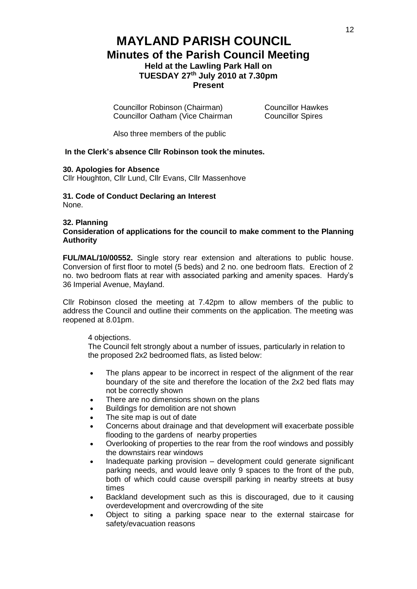# **MAYLAND PARISH COUNCIL Minutes of the Parish Council Meeting Held at the Lawling Park Hall on TUESDAY 27th July 2010 at 7.30pm Present**

Councillor Robinson (Chairman) Councillor Hawkes Councillor Oatham (Vice Chairman Councillor Spires

Also three members of the public

## **In the Clerk's absence Cllr Robinson took the minutes.**

## **30. Apologies for Absence**

Cllr Houghton, Cllr Lund, Cllr Evans, Cllr Massenhove

### **31. Code of Conduct Declaring an Interest** None.

### **32. Planning**

**Consideration of applications for the council to make comment to the Planning Authority**

**FUL/MAL/10/00552.** Single story rear extension and alterations to public house. Conversion of first floor to motel (5 beds) and 2 no. one bedroom flats. Erection of 2 no. two bedroom flats at rear with associated parking and amenity spaces. Hardy's 36 Imperial Avenue, Mayland.

Cllr Robinson closed the meeting at 7.42pm to allow members of the public to address the Council and outline their comments on the application. The meeting was reopened at 8.01pm.

#### 4 objections.

The Council felt strongly about a number of issues, particularly in relation to the proposed 2x2 bedroomed flats, as listed below:

- The plans appear to be incorrect in respect of the alignment of the rear boundary of the site and therefore the location of the 2x2 bed flats may not be correctly shown
- There are no dimensions shown on the plans
- Buildings for demolition are not shown
- The site map is out of date
- Concerns about drainage and that development will exacerbate possible flooding to the gardens of nearby properties
- Overlooking of properties to the rear from the roof windows and possibly the downstairs rear windows
- Inadequate parking provision development could generate significant parking needs, and would leave only 9 spaces to the front of the pub, both of which could cause overspill parking in nearby streets at busy times
- Backland development such as this is discouraged, due to it causing overdevelopment and overcrowding of the site
- Object to siting a parking space near to the external staircase for safety/evacuation reasons